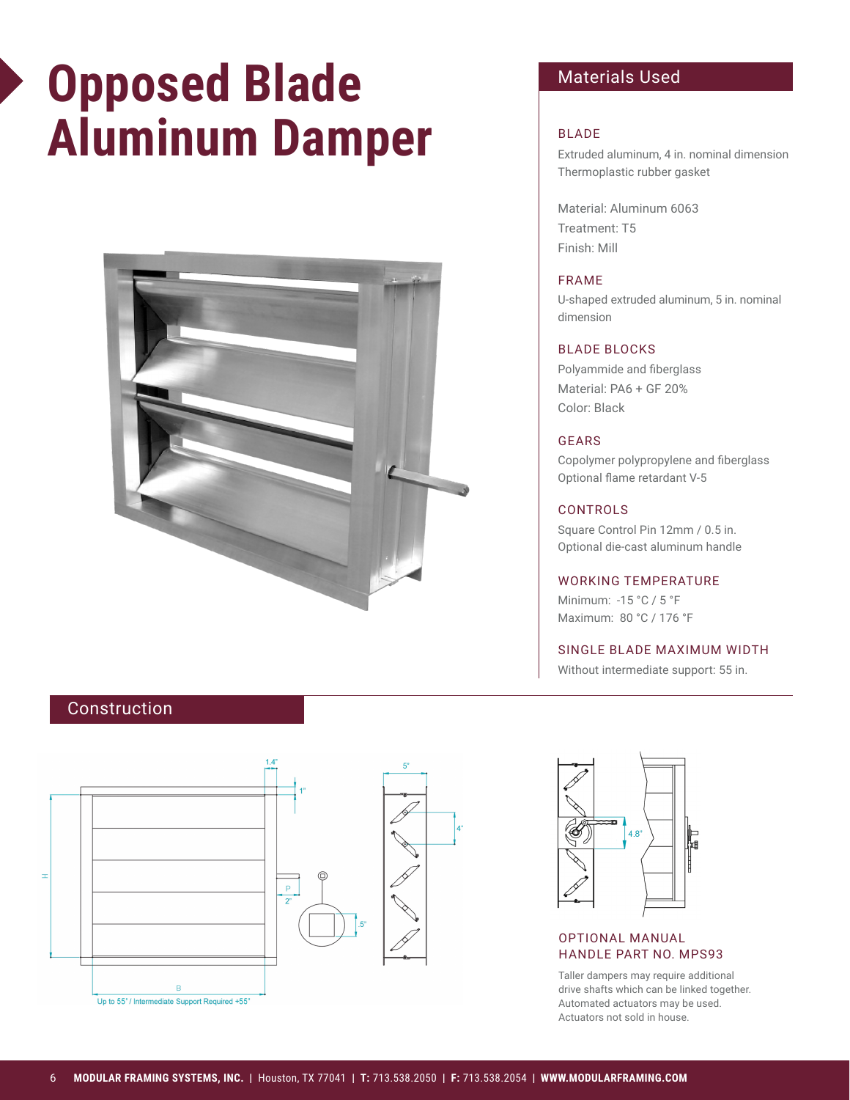# **Opposed Blade Aluminum Damper**



# Materials Used

# BLADE

Extruded aluminum, 4 in. nominal dimension Thermoplastic rubber gasket

Material: Aluminum 6063 Treatment: T5 Finish: Mill

## FRAME

U-shaped extruded aluminum, 5 in. nominal dimension

## BLADE BLOCKS

Polyammide and fiberglass Material: PA6 + GF 20% Color: Black

### GEARS

Copolymer polypropylene and fiberglass Optional flame retardant V-5

#### CONTROLS

Square Control Pin 12mm / 0.5 in. Optional die-cast aluminum handle

# WORKING TEMPERATURE

Minimum: -15 °C / 5 °F Maximum: 80 °C / 176 °F

### SINGLE BLADE MAXIMUM WIDTH

Without intermediate support: 55 in.

# Construction



 $4.8"$ 冒逼

# OPTIONAL MANUAL HANDLE PART NO. MPS93

Taller dampers may require additional drive shafts which can be linked together. Automated actuators may be used. Actuators not sold in house.